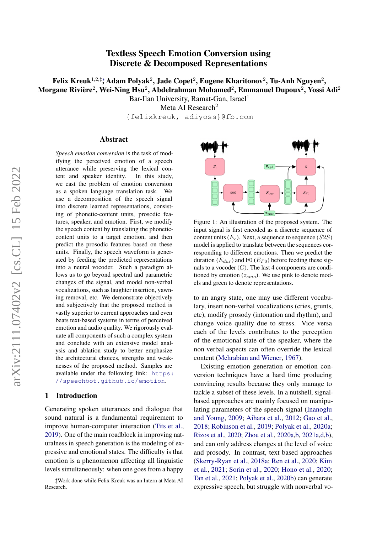# Textless Speech Emotion Conversion using Discrete & Decomposed Representations

Felix Kreuk $^{1,2,\ddag};$  Adam Polyak $^2$ , Jade Copet $^2$ , Eugene Kharitonov $^2$ , Tu-Anh Nguyen $^2$ , Morgane Rivière $^2$ , Wei-Ning Hsu $^2$ , Abdelrahman Mohamed $^2$ , Emmanuel Dupoux $^2$ , Yossi Adi $^2$ 

> Bar-Ilan University, Ramat-Gan, Israel<sup>1</sup> Meta AI Research<sup>2</sup>

{felixkreuk, adiyoss}@fb.com

#### Abstract

*Speech emotion conversion* is the task of modifying the perceived emotion of a speech utterance while preserving the lexical content and speaker identity. In this study, we cast the problem of emotion conversion as a spoken language translation task. We use a decomposition of the speech signal into discrete learned representations, consisting of phonetic-content units, prosodic features, speaker, and emotion. First, we modify the speech content by translating the phoneticcontent units to a target emotion, and then predict the prosodic features based on these units. Finally, the speech waveform is generated by feeding the predicted representations into a neural vocoder. Such a paradigm allows us to go beyond spectral and parametric changes of the signal, and model non-verbal vocalizations, such as laughter insertion, yawning removal, etc. We demonstrate objectively and subjectively that the proposed method is vastly superior to current approaches and even beats text-based systems in terms of perceived emotion and audio quality. We rigorously evaluate all components of such a complex system and conclude with an extensive model analysis and ablation study to better emphasize the architectural choices, strengths and weaknesses of the proposed method. Samples are available under the following link: [https:](https://speechbot.github.io/emotion) [//speechbot.github.io/emotion](https://speechbot.github.io/emotion).

#### 1 Introduction

Generating spoken utterances and dialogue that sound natural is a fundamental requirement to improve human-computer interaction [\(Tits et al.,](#page-11-0) [2019\)](#page-11-0). One of the main roadblock in improving naturalness in speech generation is the modeling of expressive and emotional states. The difficulty is that emotion is a phenomenon affecting all linguistic levels simultaneously: when one goes from a happy



Figure 1: An illustration of the proposed system. The input signal is first encoded as a discrete sequence of content units  $(E_c)$ . Next, a sequence to sequence  $(S2S)$ model is applied to translate between the sequences corresponding to different emotions. Then we predict the duration  $(E_{dur})$  and F0  $(E_{F0})$  before feeding these signals to a vocoder  $(G)$ . The last 4 components are conditioned by emotion  $(z_{emo})$ . We use pink to denote models and green to denote representations.

to an angry state, one may use different vocabulary, insert non-verbal vocalizations (cries, grunts, etc), modify prosody (intonation and rhythm), and change voice quality due to stress. Vice versa each of the levels contributes to the perception of the emotional state of the speaker, where the non verbal aspects can often override the lexical content [\(Mehrabian and Wiener,](#page-9-0) [1967\)](#page-9-0).

Existing emotion generation or emotion conversion techniques have a hard time producing convincing results because they only manage to tackle a subset of these levels. In a nutshell, signalbased approaches are mainly focused on manipulating parameters of the speech signal [\(Inanoglu](#page-9-1) [and Young,](#page-9-1) [2009;](#page-9-1) [Aihara et al.,](#page-8-0) [2012;](#page-8-0) [Gao et al.,](#page-8-1) [2018;](#page-8-1) [Robinson et al.,](#page-10-0) [2019;](#page-10-0) [Polyak et al.,](#page-10-1) [2020a;](#page-10-1) [Rizos et al.,](#page-10-2) [2020;](#page-10-2) [Zhou et al.,](#page-11-1) [2020a,](#page-11-1)[b,](#page-11-2) [2021a](#page-11-3)[,d,](#page-11-4)[b\)](#page-11-5), and can only address changes at the level of voice and prosody. In contrast, text based approaches [\(Skerry-Ryan et al.,](#page-10-3) [2018a;](#page-10-3) [Ren et al.,](#page-10-4) [2020;](#page-10-4) [Kim](#page-9-2) [et al.,](#page-9-2) [2021;](#page-9-2) [Sorin et al.,](#page-10-5) [2020;](#page-10-5) [Hono et al.,](#page-8-2) [2020;](#page-8-2) [Tan et al.,](#page-11-6) [2021;](#page-11-6) [Polyak et al.,](#page-10-6) [2020b\)](#page-10-6) can generate expressive speech, but struggle with nonverbal vo-

<sup>∗</sup> ‡Work done while Felix Kreuk was an Intern at Meta AI Research.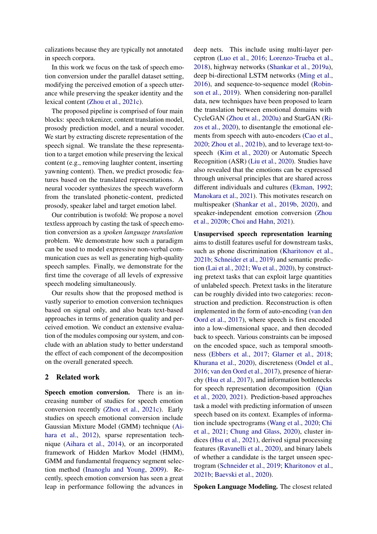calizations because they are typically not annotated in speech corpora.

In this work we focus on the task of speech emotion conversion under the parallel dataset setting, modifying the perceived emotion of a speech utterance while preserving the speaker identity and the lexical content [\(Zhou et al.,](#page-11-7) [2021c\)](#page-11-7).

The proposed pipeline is comprised of four main blocks: speech tokenizer, content translation model, prosody prediction model, and a neural vocoder. We start by extracting discrete representation of the speech signal. We translate the these representation to a target emotion while preserving the lexical content (e.g., removing laughter content, inserting yawning content). Then, we predict prosodic features based on the translated representations. A neural vocoder synthesizes the speech waveform from the translated phonetic-content, predicted prosody, speaker label and target emotion label.

Our contribution is twofold: We propose a novel textless approach by casting the task of speech emotion conversion as a *spoken language translation* problem. We demonstrate how such a paradigm can be used to model expressive non-verbal communication cues as well as generating high-quality speech samples. Finally, we demonstrate for the first time the coverage of all levels of expressive speech modeling simultaneously.

Our results show that the proposed method is vastly superior to emotion conversion techniques based on signal only, and also beats text-based approaches in terms of generation quality and perceived emotion. We conduct an extensive evaluation of the modules composing our system, and conclude with an ablation study to better understand the effect of each component of the decomposition on the overall generated speech.

## 2 Related work

Speech emotion conversion. There is an increasing number of studies for speech emotion conversion recently [\(Zhou et al.,](#page-11-7) [2021c\)](#page-11-7). Early studies on speech emotional conversion include Gaussian Mixture Model (GMM) technique [\(Ai](#page-8-0)[hara et al.,](#page-8-0) [2012\)](#page-8-0), sparse representation technique [\(Aihara et al.,](#page-8-3) [2014\)](#page-8-3), or an incorporated framework of Hidden Markov Model (HMM), GMM and fundamental frequency segment selection method [\(Inanoglu and Young,](#page-9-1) [2009\)](#page-9-1). Recently, speech emotion conversion has seen a great leap in performance following the advances in

deep nets. This include using multi-layer perceptron [\(Luo et al.,](#page-9-3) [2016;](#page-9-3) [Lorenzo-Trueba et al.,](#page-9-4) [2018\)](#page-9-4), highway networks [\(Shankar et al.,](#page-10-7) [2019a\)](#page-10-7), deep bi-directional LSTM networks [\(Ming et al.,](#page-9-5) [2016\)](#page-9-5), and sequence-to-sequence model [\(Robin](#page-10-0)[son et al.,](#page-10-0) [2019\)](#page-10-0). When considering non-parallel data, new techniques have been proposed to learn the translation between emotional domains with CycleGAN [\(Zhou et al.,](#page-11-1) [2020a\)](#page-11-1) and StarGAN [\(Ri](#page-10-2)[zos et al.,](#page-10-2) [2020\)](#page-10-2), to disentangle the emotional elements from speech with auto-encoders [\(Cao et al.,](#page-8-4) [2020;](#page-8-4) [Zhou et al.,](#page-11-5) [2021b\)](#page-11-5), and to leverage text-tospeech [\(Kim et al.,](#page-9-6) [2020\)](#page-9-6) or Automatic Speech Recognition (ASR) [\(Liu et al.,](#page-9-7) [2020\)](#page-9-7). Studies have also revealed that the emotions can be expressed through universal principles that are shared across different individuals and cultures [\(Ekman,](#page-8-5) [1992;](#page-8-5) [Manokara et al.,](#page-9-8) [2021\)](#page-9-8). This motivates research on multispeaker [\(Shankar et al.,](#page-10-8) [2019b,](#page-10-8) [2020\)](#page-10-9), and speaker-independent emotion conversion [\(Zhou](#page-11-2) [et al.,](#page-11-2) [2020b;](#page-11-2) [Choi and Hahn,](#page-8-6) [2021\)](#page-8-6).

Unsupervised speech representation learning aims to distill features useful for downstream tasks, such as phone discrimination [\(Kharitonov et al.,](#page-9-9) [2021b;](#page-9-9) [Schneider et al.,](#page-10-10) [2019\)](#page-10-10) and semantic prediction [\(Lai et al.,](#page-9-10) [2021;](#page-9-10) [Wu et al.,](#page-11-8) [2020\)](#page-11-8), by constructing pretext tasks that can exploit large quantities of unlabeled speech. Pretext tasks in the literature can be roughly divided into two categories: reconstruction and prediction. Reconstruction is often implemented in the form of auto-encoding [\(van den](#page-11-9) [Oord et al.,](#page-11-9) [2017\)](#page-11-9), where speech is first encoded into a low-dimensional space, and then decoded back to speech. Various constraints can be imposed on the encoded space, such as temporal smoothness [\(Ebbers et al.,](#page-8-7) [2017;](#page-8-7) [Glarner et al.,](#page-8-8) [2018;](#page-8-8) [Khurana et al.,](#page-9-11) [2020\)](#page-9-11), discreteness [\(Ondel et al.,](#page-9-12) [2016;](#page-9-12) [van den Oord et al.,](#page-11-9) [2017\)](#page-11-9), presence of hierarchy [\(Hsu et al.,](#page-9-13) [2017\)](#page-9-13), and information bottlenecks for speech representation decomposition [\(Qian](#page-10-11) [et al.,](#page-10-11) [2020,](#page-10-11) [2021\)](#page-10-12). Prediction-based approaches task a model with predicting information of unseen speech based on its context. Examples of information include spectrograms [\(Wang et al.,](#page-11-10) [2020;](#page-11-10) [Chi](#page-8-9) [et al.,](#page-8-9) [2021;](#page-8-9) [Chung and Glass,](#page-8-10) [2020\)](#page-8-10), cluster indices [\(Hsu et al.,](#page-9-14) [2021\)](#page-9-14), derived signal processing features [\(Ravanelli et al.,](#page-10-13) [2020\)](#page-10-13), and binary labels of whether a candidate is the target unseen spectrogram [\(Schneider et al.,](#page-10-10) [2019;](#page-10-10) [Kharitonov et al.,](#page-9-9) [2021b;](#page-9-9) [Baevski et al.,](#page-8-11) [2020\)](#page-8-11).

Spoken Language Modeling. The closest related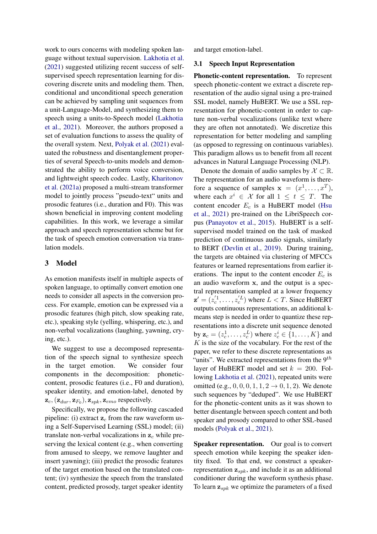work to ours concerns with modeling spoken language without textual supervision. [Lakhotia et al.](#page-9-15) [\(2021\)](#page-9-15) suggested utilizing recent success of selfsupervised speech representation learning for discovering discrete units and modeling them. Then, conditional and unconditional speech generation can be achieved by sampling unit sequences from a unit-Language-Model, and synthesizing them to speech using a units-to-Speech model [\(Lakhotia](#page-9-15) [et al.,](#page-9-15) [2021\)](#page-9-15). Moreover, the authors proposed a set of evaluation functions to assess the quality of the overall system. Next, [Polyak et al.](#page-10-14) [\(2021\)](#page-10-14) evaluated the robustness and disentanglement properties of several Speech-to-units models and demonstrated the ability to perform voice conversion, and lightweight speech codec. Lastly, [Kharitonov](#page-9-16) [et al.](#page-9-16) [\(2021a\)](#page-9-16) proposed a multi-stream transformer model to jointly process "pseudo-text" units and prosodic features (i.e., duration and F0). This was shown beneficial in improving content modeling capabilities. In this work, we leverage a similar approach and speech representation scheme but for the task of speech emotion conversation via translation models.

#### 3 Model

As emotion manifests itself in multiple aspects of spoken language, to optimally convert emotion one needs to consider all aspects in the conversion process. For example, emotion can be expressed via a prosodic features (high pitch, slow speaking rate, etc.), speaking style (yelling, whispering, etc.), and non-verbal vocalizations (laughing, yawning, crying, etc.).

We suggest to use a decomposed representation of the speech signal to synthesize speech in the target emotion. We consider four components in the decomposition: phoneticcontent, prosodic features (i.e., F0 and duration), speaker identity, and emotion-label, denoted by  $\mathbf{z}_c, (\mathbf{z}_{dur}, \mathbf{z}_{F_0}), \mathbf{z}_{spk}, \mathbf{z}_{emo}$  respectively.

Specifically, we propose the following cascaded pipeline: (i) extract  $z_c$  from the raw waveform using a Self-Supervised Learning (SSL) model; (ii) translate non-verbal vocalizations in  $z_c$  while preserving the lexical content (e.g., when converting from amused to sleepy, we remove laughter and insert yawning); (iii) predict the prosodic features of the target emotion based on the translated content; (iv) synthesize the speech from the translated content, predicted prosody, target speaker identity

and target emotion-label.

#### 3.1 Speech Input Representation

Phonetic-content representation. To represent speech phonetic-content we extract a discrete representation of the audio signal using a pre-trained SSL model, namely HuBERT. We use a SSL representation for phonetic-content in order to capture non-verbal vocalizations (unlike text where they are often not annotated). We discretize this representation for better modeling and sampling (as opposed to regressing on continuous variables). This paradigm allows us to benefit from all recent advances in Natural Language Processing (NLP).

Denote the domain of audio samples by  $\mathcal{X} \subset \mathbb{R}$ . The representation for an audio waveform is therefore a sequence of samples  $\mathbf{x} = (x^1, \dots, x^T)$ , where each  $x^i \in \mathcal{X}$  for all  $1 \leq t \leq T$ . The content encoder  $E_c$  is a HuBERT model [\(Hsu](#page-9-14) [et al.,](#page-9-14) [2021\)](#page-9-14) pre-trained on the LibriSpeech corpus [\(Panayotov et al.,](#page-10-15) [2015\)](#page-10-15). HuBERT is a selfsupervised model trained on the task of masked prediction of continuous audio signals, similarly to BERT [\(Devlin et al.,](#page-8-12) [2019\)](#page-8-12). During training, the targets are obtained via clustering of MFCCs features or learned representations from earlier iterations. The input to the content encoder  $E_c$  is an audio waveform x, and the output is a spectral representation sampled at a lower frequency  $\mathbf{z}' = (z'_c^1, \dots, z'_c^L)$  where  $L < T$ . Since HuBERT outputs continuous representations, an additional kmeans step is needed in order to quantize these representations into a discrete unit sequence denoted by  $\mathbf{z}_c = (z_c^1, \dots, z_c^L)$  where  $z_c^i \in \{1, \dots, K\}$  and  $K$  is the size of the vocabulary. For the rest of the paper, we refer to these discrete representations as "units". We extracted representations from the  $9^{th}$ layer of HuBERT model and set  $k = 200$ . Following [Lakhotia et al.](#page-9-15) [\(2021\)](#page-9-15), repeated units were omitted (e.g., 0, 0, 0, 1, 1, 2  $\rightarrow$  0, 1, 2). We denote such sequences by "deduped". We use HuBERT for the phonetic-content units as it was shown to better disentangle between speech content and both speaker and prosody compared to other SSL-based models [\(Polyak et al.,](#page-10-14) [2021\)](#page-10-14).

Speaker representation. Our goal is to convert speech emotion while keeping the speaker identity fixed. To that end, we construct a speakerrepresentation  $z_{spk}$ , and include it as an additional conditioner during the waveform synthesis phase. To learn  $z_{spk}$  we optimize the parameters of a fixed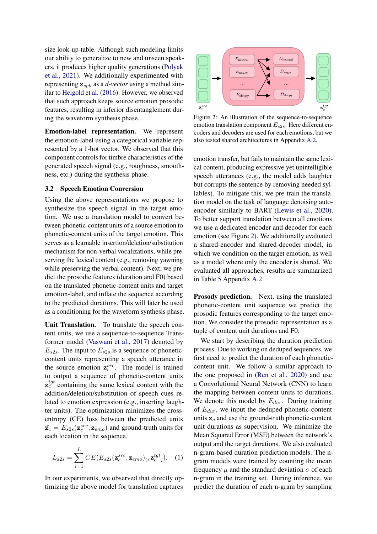size look-up-table. Although such modeling limits our ability to generalize to new and unseen speakers, it produces higher quality generations [\(Polyak](#page-10-14) [et al.,](#page-10-14) [2021\)](#page-10-14). We additionally experimented with representing  $z_{spk}$  as a *d-vector* using a method similar to [Heigold et al.](#page-8-13) [\(2016\)](#page-8-13). However, we observed that such approach keeps source emotion prosodic features, resulting in inferior disentanglement during the waveform synthesis phase.

Emotion-label representation. We represent the emotion-label using a categorical variable represented by a 1-hot vector. We observed that this component controls for timbre characteristics of the generated speech signal (e.g., roughness, smoothness, etc.) during the synthesis phase.

#### <span id="page-3-1"></span>3.2 Speech Emotion Conversion

Using the above representations we propose to synthesize the speech signal in the target emotion. We use a translation model to convert between phonetic-content units of a source emotion to phonetic-content units of the target emotion. This serves as a learnable insertion/deletion/substitution mechanism for non-verbal vocalizations, while preserving the lexical content (e.g., removing yawning while preserving the verbal content). Next, we predict the prosodic features (duration and F0) based on the translated phonetic-content units and target emotion-label, and inflate the sequence according to the predicted durations. This will later be used as a conditioning for the waveform synthesis phase.

Unit Translation. To translate the speech content units, we use a sequence-to-sequence Transformer model [\(Vaswani et al.,](#page-11-11) [2017\)](#page-11-11) denoted by  $E_{s2s}$ . The input to  $E_{s2s}$  is a sequence of phoneticcontent units representing a speech utterance in the source emotion  $\mathbf{z}_c^{src}$ . The model is trained to output a sequence of phonetic-content units  $z_c^{tgt}$  containing the same lexical content with the addition/deletion/substitution of speech cues related to emotion expression (e.g., inserting laughter units). The optimization minimizes the crossentropy (CE) loss between the predicted units  $\hat{\mathbf{z}}_c = E_{s2s}(\mathbf{z}_c^{src}, \mathbf{z}_{emo})$  and ground-truth units for each location in the sequence,

$$
L_{s2s} = \sum_{i=1}^{L} CE(E_{s2s}(\mathbf{z}_c^{src}, \mathbf{z}_{emo})_i, \mathbf{z}_c^{tgt}{}_i). \quad (1)
$$

In our experiments, we observed that directly optimizing the above model for translation captures

<span id="page-3-0"></span>

Figure 2: An illustration of the sequence-to-sequence emotion translation component  $E_{s2s}$ . Here different encoders and decoders are used for each emotions, but we also tested shared architectures in Appendix [A.2.](#page-11-12)

emotion transfer, but fails to maintain the same lexical content, producing expressive yet unintelligible speech utterances (e.g., the model adds laughter but corrupts the sentence by removing needed syllables). To mitigate this, we pre-train the translation model on the task of language denoising autoencoder similarly to BART [\(Lewis et al.,](#page-9-17) [2020\)](#page-9-17). To better support translation between all emotions we use a dedicated encoder and decoder for each emotion (see Figure [2\)](#page-3-0). We additionally evaluated a shared-encoder and shared-decoder model, in which we condition on the target emotion, as well as a model where only the encoder is shared. We evaluated all approaches, results are summarized in Table [5](#page-12-0) Appendix [A.2.](#page-11-12)

Prosody prediction. Next, using the translated phonetic-content unit sequence we predict the prosodic features corresponding to the target emotion. We consider the prosodic representation as a tuple of content unit durations and F0.

<span id="page-3-2"></span>We start by describing the duration prediction process. Due to working on deduped sequences, we first need to predict the duration of each phoneticcontent unit. We follow a similar approach to the one proposed in [\(Ren et al.,](#page-10-4) [2020\)](#page-10-4) and use a Convolutional Neural Network (CNN) to learn the mapping between content units to durations. We denote this model by  $E_{dur}$ . During training of  $E_{dur}$ , we input the deduped phonetic-content units  $z_c$  and use the ground-truth phonetic-content unit durations as supervision. We minimize the Mean Squared Error (MSE) between the network's output and the target durations. We also evaluated n-gram-based duration prediction models. The ngram models were trained by counting the mean frequency  $\mu$  and the standard deviation  $\sigma$  of each n-gram in the training set. During inference, we predict the duration of each n-gram by sampling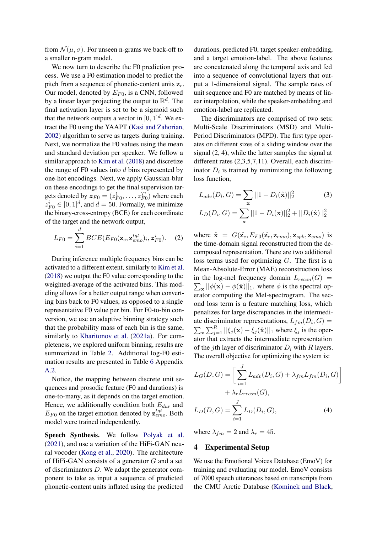from  $\mathcal{N}(\mu, \sigma)$ . For unseen n-grams we back-off to a smaller n-gram model.

We now turn to describe the F0 prediction process. We use a F0 estimation model to predict the pitch from a sequence of phonetic-content units  $z_c$ . Our model, denoted by  $E_{F0}$ , is a CNN, followed by a linear layer projecting the output to  $\mathbb{R}^d$ . The final activation layer is set to be a sigmoid such that the network outputs a vector in  $[0, 1]^d$ . We extract the F0 using the YAAPT [\(Kasi and Zahorian,](#page-9-18) [2002\)](#page-9-18) algorithm to serve as targets during training. Next, we normalize the F0 values using the mean and standard deviation per speaker. We follow a similar approach to [Kim et al.](#page-9-19) [\(2018\)](#page-9-19) and discretize the range of  $F0$  values into  $d$  bins represented by one-hot encodings. Next, we apply Gaussian-blur on these encodings to get the final supervision targets denoted by  $\mathbf{z}_{F0} = (z_{F0}^1, \dots, z_{F0}^T)$  $F_{F0}^{T'}$ ) where each  $z_{F0}^i \in [0, 1]^d$ , and  $d = 50$ . Formally, we minimize the binary-cross-entropy (BCE) for each coordinate of the target and the network output,

$$
L_{F0} = \sum_{i=1}^{d} BCE(E_{F0}(\mathbf{z}_c, \mathbf{z}_{emo}^{tgt})_i, \mathbf{z}_{F0}^i).
$$
 (2)

During inference multiple frequency bins can be activated to a different extent, similarly to [Kim et al.](#page-9-19) [\(2018\)](#page-9-19) we output the F0 value corresponding to the weighted-average of the activated bins. This modeling allows for a better output range when converting bins back to F0 values, as opposed to a single representative F0 value per bin. For F0-to-bin conversion, we use an adaptive binning strategy such that the probability mass of each bin is the same, similarly to [Kharitonov et al.](#page-9-16) [\(2021a\)](#page-9-16). For completeness, we explored uniform binning, results are summarized in Table [2.](#page-6-0) Additional log-F0 estimation results are presented in Table [6](#page-12-1) Appendix [A.2.](#page-11-12)

Notice, the mapping between discrete unit sequences and prosodic feature (F0 and durations) is one-to-many, as it depends on the target emotion. Hence, we additionally condition both  $E_{dur}$  and  $E_{F0}$  on the target emotion denoted by  $z_{emo}^{tgt}$ . Both model were trained independently.

Speech Synthesis. We follow [Polyak et al.](#page-10-14) [\(2021\)](#page-10-14), and use a variation of the HiFi-GAN neural vocoder [\(Kong et al.,](#page-9-20) [2020\)](#page-9-20). The architecture of HiFi-GAN consists of a generator G and a set of discriminators D. We adapt the generator component to take as input a sequence of predicted phonetic-content units inflated using the predicted

durations, predicted F0, target speaker-embedding, and a target emotion-label. The above features are concatenated along the temporal axis and fed into a sequence of convolutional layers that output a 1-dimensional signal. The sample rates of unit sequence and F0 are matched by means of linear interpolation, while the speaker-embedding and emotion-label are replicated.

The discriminators are comprised of two sets: Multi-Scale Discriminators (MSD) and Multi-Period Discriminators (MPD). The first type operates on different sizes of a sliding window over the signal (2, 4), while the latter samples the signal at different rates (2,3,5,7,11). Overall, each discriminator  $D_i$  is trained by minimizing the following loss function,

$$
L_{adv}(D_i, G) = \sum_{\mathbf{x}} ||1 - D_i(\hat{\mathbf{x}})||_2^2
$$
(3)  

$$
L_D(D_i, G) = \sum_{\mathbf{x}} ||1 - D_i(\mathbf{x})||_2^2 + ||D_i(\hat{\mathbf{x}})||_2^2
$$

where  $\hat{\mathbf{x}} = G(\hat{\mathbf{z}_c}, E_{F0}(\hat{\mathbf{z}_c}, \mathbf{z}_{emo}), \mathbf{z}_{spk}, \mathbf{z}_{emo})$  is the time-domain signal reconstructed from the decomposed representation. There are two additional loss terms used for optimizing G. The first is a Mean-Absolute-Error (MAE) reconstruction loss  $\sum_{\mathbf{x}} ||\phi(\mathbf{x}) - \phi(\hat{\mathbf{x}})||_1$ . where  $\phi$  is the spectral opin the log-mel frequency domain  $L_{recon}(G)$  = erator computing the Mel-spectrogram. The second loss term is a feature matching loss, which penalizes for large discrepancies in the intermediate discriminator representations,  $L_{fm}(D_i, G) =$  $\sum_{\mathbf{x}} \sum_{j=1}^{R} ||\xi_j(\mathbf{x}) - \xi_j(\hat{\mathbf{x}})||_1$  where  $\xi_j$  is the operator that extracts the intermediate representation of the jth layer of discriminator  $D_i$  with R layers. The overall objective for optimizing the system is:

$$
L_G(D, G) = \left[ \sum_{i=1}^J L_{adv}(D_i, G) + \lambda_{fm} L_{fm}(D_i, G) \right]
$$

$$
+ \lambda_r L_{recon}(G),
$$

$$
L_D(D, G) = \sum_{i=1}^J L_D(D_i, G), \qquad (4)
$$

where  $\lambda_{fm} = 2$  and  $\lambda_r = 45$ .

## 4 Experimental Setup

We use the Emotional Voices Database (EmoV) for training and evaluating our model. EmoV consists of 7000 speech utterances based on transcripts from the CMU Arctic Database [\(Kominek and Black,](#page-9-21)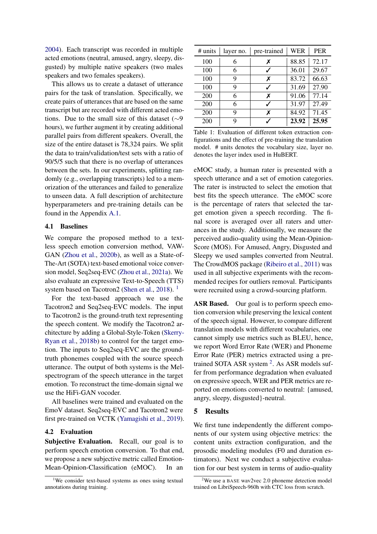[2004\)](#page-9-21). Each transcript was recorded in multiple acted emotions (neutral, amused, angry, sleepy, disgusted) by multiple native speakers (two males speakers and two females speakers).

This allows us to create a dataset of utterance pairs for the task of translation. Specifically, we create pairs of utterances that are based on the same transcript but are recorded with different acted emotions. Due to the small size of this dataset (∼9 hours), we further augment it by creating additional parallel pairs from different speakers. Overall, the size of the entire dataset is 78,324 pairs. We split the data to train/validation/test sets with a ratio of 90/5/5 such that there is no overlap of utterances between the sets. In our experiments, splitting randomly (e.g., overlapping transcripts) led to a memorization of the utterances and failed to generalize to unseen data. A full description of architecture hyperparameters and pre-training details can be found in the Appendix [A.1.](#page-11-13)

### <span id="page-5-2"></span>4.1 Baselines

We compare the proposed method to a textless speech emotion conversion method, VAW-GAN [\(Zhou et al.,](#page-11-2) [2020b\)](#page-11-2), as well as a State-of-The-Art (SOTA) text-based emotional voice conversion model, Seq2seq-EVC [\(Zhou et al.,](#page-11-3) [2021a\)](#page-11-3). We also evaluate an expressive Text-to-Speech (TTS) system based on Tacotron2 [\(Shen et al.,](#page-10-16) [2018\)](#page-10-16). <sup>[1](#page-5-0)</sup>

For the text-based approach we use the Tacotron2 and Seq2seq-EVC models. The input to Tacotron2 is the ground-truth text representing the speech content. We modify the Tacotron2 architecture by adding a Global-Style-Token [\(Skerry-](#page-10-17)[Ryan et al.,](#page-10-17) [2018b\)](#page-10-17) to control for the target emotion. The inputs to Seq2seq-EVC are the groundtruth phonemes coupled with the source speech utterance. The output of both systems is the Melspectrogram of the speech utterance in the target emotion. To reconstruct the time-domain signal we use the HiFi-GAN vocoder.

All baselines were trained and evaluated on the EmoV dataset. Seq2seq-EVC and Tacotron2 were first pre-trained on VCTK [\(Yamagishi et al.,](#page-11-14) [2019\)](#page-11-14).

#### 4.2 Evaluation

Subjective Evaluation. Recall, our goal is to perform speech emotion conversion. To that end, we propose a new subjective metric called Emotion-Mean-Opinion-Classification (eMOC). In an

<span id="page-5-3"></span>

| $#$ units | layer no. | pre-trained | <b>WER</b> | <b>PER</b> |
|-----------|-----------|-------------|------------|------------|
| 100       | 6         | х           | 88.85      | 72.17      |
| 100       | 6         |             | 36.01      | 29.67      |
| 100       | 9         | X           | 83.72      | 66.63      |
| 100       | 9         |             | 31.69      | 27.90      |
| 200       | 6         | X           | 91.06      | 77.14      |
| 200       | 6         |             | 31.97      | 27.49      |
| 200       | 9         | X           | 84.92      | 71.45      |
| 200       | 9         |             | 23.92      | 25.95      |

Table 1: Evaluation of different token extraction configurations and the effect of pre-training the translation model. # units denotes the vocabulary size, layer no. denotes the layer index used in HuBERT.

eMOC study, a human rater is presented with a speech utterance and a set of emotion categories. The rater is instructed to select the emotion that best fits the speech utterance. The eMOC score is the percentage of raters that selected the target emotion given a speech recording. The final score is averaged over all raters and utterances in the study. Additionally, we measure the perceived audio-quality using the Mean-Opinion-Score (MOS). For Amused, Angry, Disgusted and Sleepy we used samples converted from Neutral. The CrowdMOS package [\(Ribeiro et al.,](#page-10-18) [2011\)](#page-10-18) was used in all subjective experiments with the recommended recipes for outliers removal. Participants were recruited using a crowd-sourcing platform.

ASR Based. Our goal is to perform speech emotion conversion while preserving the lexical content of the speech signal. However, to compare different translation models with different vocabularies, one cannot simply use metrics such as BLEU, hence, we report Word Error Rate (WER) and Phoneme Error Rate (PER) metrics extracted using a pre-trained SOTA ASR system<sup>[2](#page-5-1)</sup>. As ASR models suffer from performance degradation when evaluated on expressive speech, WER and PER metrics are reported on emotions converted to neutral: {amused, angry, sleepy, disgusted}-neutral.

#### 5 Results

We first tune independently the different components of our system using objective metrics: the content units extraction configuration, and the prosodic modeling modules (F0 and duration estimators). Next we conduct a subjective evaluation for our best system in terms of audio-quality

<span id="page-5-0"></span>We consider text-based systems as ones using textual annotations during training.

<span id="page-5-1"></span><sup>&</sup>lt;sup>2</sup>We use a BASE wav2vec 2.0 phoneme detection model trained on LibriSpeech-960h with CTC loss from scratch.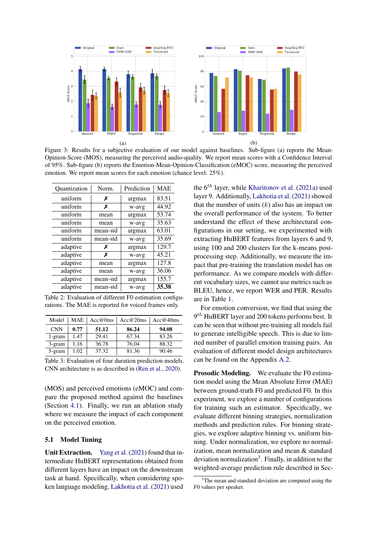<span id="page-6-3"></span>

Figure 3: Results for a subjective evaluation of our model against baselines. Sub-figure (a) reports the Mean-Opinion-Score (MOS), measuring the perceived audio-quality. We report mean scores with a Confidence Interval of 95%. Sub-figure (b) reports the Emotion-Mean-Opinion-Classification (eMOC) score, measuring the perceived emotion. We report mean scores for each emotion (chance level: 25%).

<span id="page-6-0"></span>

| Ouantization | Norm.    | Prediction | <b>MAE</b> |
|--------------|----------|------------|------------|
| uniform      | Х        | argmax     | 83.51      |
| uniform      | х        | w-avg      | 44.92      |
| uniform      | mean     | argmax     | 53.74      |
| uniform      | mean     | w-avg      | 35.63      |
| uniform      | mean-std | argmax     | 63.01      |
| uniform      | mean-std | w-avg      | 35.69      |
| adaptive     | х        | argmax     | 129.7      |
| adaptive     | х        | w-avg      | 45.21      |
| adaptive     | mean     | argmax     | 127.8      |
| adaptive     | mean     | w-avg      | 36.06      |
| adaptive     | mean-std | argmax     | 155.7      |
| adaptive     | mean-std | w-avg      | 35.38      |

Table 2: Evaluation of different F0 estimation configurations. The MAE is reported for voiced frames only.

<span id="page-6-2"></span>

| Model      | <b>MAE</b> | Acc@0ms | Acc@20ms | Acc@40ms |
|------------|------------|---------|----------|----------|
| <b>CNN</b> | 0.77       | 51.12   | 86.24    | 94.08    |
| 1-gram     | 1.47       | 29.41   | 67.34    | 83.26    |
| 3-gram     | 1.16       | 36.78   | 76.04    | 88.32    |
| 5-gram     | 1.02       | 37.32   | 81.36    | 90.46    |

Table 3: Evaluation of four duration prediction models. CNN architecture is as described in [\(Ren et al.,](#page-10-4) [2020\)](#page-10-4).

(MOS) and perceived emotions (eMOC) and compare the proposed method against the baselines (Section [4.1\)](#page-5-2). Finally, we run an ablation study where we measure the impact of each component on the perceived emotion.

#### 5.1 Model Tuning

Unit Extraction. [Yang et al.](#page-11-15) [\(2021\)](#page-11-15) found that intermediate HuBERT representations obtained from different layers have an impact on the downstream task at hand. Specifically, when considering spoken language modeling, [Lakhotia et al.](#page-9-15) [\(2021\)](#page-9-15) used

the  $6<sup>th</sup>$  layer, while [Kharitonov et al.](#page-9-16) [\(2021a\)](#page-9-16) used layer 9. Additionally, [Lakhotia et al.](#page-9-15) [\(2021\)](#page-9-15) showed that the number of units  $(k)$  also has an impact on the overall performance of the system. To better understand the effect of these architectural configurations in our setting, we experimented with extracting HuBERT features from layers 6 and 9, using 100 and 200 clusters for the k-means postprocessing step. Additionally, we measure the impact that pre-training the translation model has on performance. As we compare models with different vocabulary sizes, we cannot use metrics such as BLEU, hence, we report WER and PER. Results are in Table [1.](#page-5-3)

For emotion conversion, we find that using the  $9<sup>th</sup>$  HuBERT layer and 200 tokens performs best. It can be seen that without pre-training all models fail to generate intelligible speech. This is due to limited number of parallel emotion training pairs. An evaluation of different model design architectures can be found on the Appendix [A.2.](#page-11-12)

Prosodic Modeling. We evaluate the F0 estimation model using the Mean Absolute Error (MAE) between ground-truth F0 and predicted F0. In this experiment, we explore a number of configurations for training such an estimator. Specifically, we evaluate different binning strategies, normalization methods and prediction rules. For binning strategies, we explore adaptive binning vs. uniform binning. Under normalization, we explore no normalization, mean normalization and mean & standard deviation normalization<sup>[3](#page-6-1)</sup>. Finally, in addition to the weighted-average prediction rule described in Sec-

<span id="page-6-1"></span><sup>&</sup>lt;sup>3</sup>The mean and standard deviation are computed using the F0 values per speaker.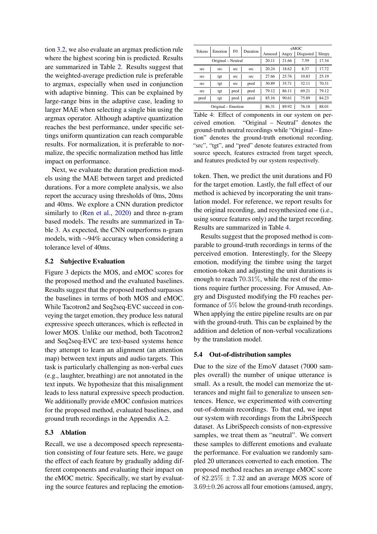tion [3.2,](#page-3-1) we also evaluate an argmax prediction rule where the highest scoring bin is predicted. Results are summarized in Table [2.](#page-6-0) Results suggest that the weighted-average prediction rule is preferable to argmax, especially when used in conjunction with adaptive binning. This can be explained by large-range bins in the adaptive case, leading to larger MAE when selecting a single bin using the argmax operator. Although adaptive quantization reaches the best performance, under specific settings uniform quantization can reach comparable results. For normalization, it is preferable to normalize, the specific normalization method has little impact on performance.

Next, we evaluate the duration prediction models using the MAE between target and predicted durations. For a more complete analysis, we also report the accuracy using thresholds of 0ms, 20ms and 40ms. We explore a CNN duration predictor similarly to [\(Ren et al.,](#page-10-4) [2020\)](#page-10-4) and three n-gram based models. The results are summarized in Table [3.](#page-6-2) As expected, the CNN outperforms n-gram models, with ∼94% accuracy when considering a tolerance level of 40ms.

#### 5.2 Subjective Evaluation

Figure [3](#page-6-3) depicts the MOS, and eMOC scores for the proposed method and the evaluated baselines. Results suggest that the proposed method surpasses the baselines in terms of both MOS and eMOC. While Tacotron2 and Seq2seq-EVC succeed in conveying the target emotion, they produce less natural expressive speech utterances, which is reflected in lower MOS. Unlike our method, both Tacotron2 and Seq2seq-EVC are text-based systems hence they attempt to learn an alignment (an attention map) between text inputs and audio targets. This task is particularly challenging as non-verbal cues (e.g., laughter, breathing) are not annotated in the text inputs. We hypothesize that this misalignment leads to less natural expressive speech production. We additionally provide eMOC confusion matrices for the proposed method, evaluated baselines, and ground truth recordings in the Appendix [A.2.](#page-11-12)

## 5.3 Ablation

Recall, we use a decomposed speech representation consisting of four feature sets. Here, we gauge the effect of each feature by gradually adding different components and evaluating their impact on the eMOC metric. Specifically, we start by evaluating the source features and replacing the emotion-

<span id="page-7-0"></span>

| Tokens             | Emotion            | F <sub>0</sub> | Duration | eMOC   |       |           |        |
|--------------------|--------------------|----------------|----------|--------|-------|-----------|--------|
|                    |                    |                |          | Amused | Angry | Disgusted | Sleepy |
| Original – Neutral |                    |                | 20.11    | 21.66  | 7.59  | 17.34     |        |
| <b>STC</b>         | src                | src            | src      | 20.24  | 18.62 | 8.37      | 17.72  |
| src                | tgt                | src            | src      | 27.66  | 25.76 | 10.83     | 25.19  |
| src                | tgt                | src            | pred     | 30.89  | 35.71 | 32.11     | 70.31  |
| <b>STC</b>         | tgt                | pred           | pred     | 79.12  | 86.11 | 69.21     | 79.12  |
| pred               | tgt                | pred           | pred     | 85.16  | 90.61 | 75.89     | 84.23  |
|                    | Original – Emotion |                |          | 86.31  | 89.92 | 76.18     | 88.01  |

Table 4: Effect of components in our system on perceived emotion. "Original – Neutral" denotes the ground-truth neutral recordings while "Original – Emotion" denotes the ground-truth emotional recording. "src", "tgt", and "pred" denote features extracted from source speech, features extracted from target speech, and features predicted by our system respectively.

token. Then, we predict the unit durations and F0 for the target emotion. Lastly, the full effect of our method is achieved by incorporating the unit translation model. For reference, we report results for the original recording, and resynthesized one (i.e., using source features only) and the target recording. Results are summarized in Table [4.](#page-7-0)

Results suggest that the proposed method is comparable to ground-truth recordings in terms of the perceived emotion. Interestingly, for the Sleepy emotion, modifying the timbre using the target emotion-token and adjusting the unit durations is enough to reach 70.31%, while the rest of the emotions require further processing. For Amused, Angry and Disgusted modifying the F0 reaches performance of 5% below the ground-truth recordings. When applying the entire pipeline results are on par with the ground-truth. This can be explained by the addition and deletion of non-verbal vocalizations by the translation model.

#### 5.4 Out-of-distribution samples

Due to the size of the EmoV dataset (7000 samples overall) the number of unique utterance is small. As a result, the model can memorize the utterances and might fail to generalize to unseen sentences. Hence, we experimented with converting out-of-domain recordings. To that end, we input our system with recordings from the LibriSpeech dataset. As LibriSpeech consists of non-expressive samples, we treat them as "neutral". We convert these samples to different emotions and evaluate the performance. For evaluation we randomly sampled 20 utterances converted to each emotion. The proposed method reaches an average eMOC score of  $82.25\% \pm 7.32$  and an average MOS score of 3.69±0.26 across all four emotions (amused, angry,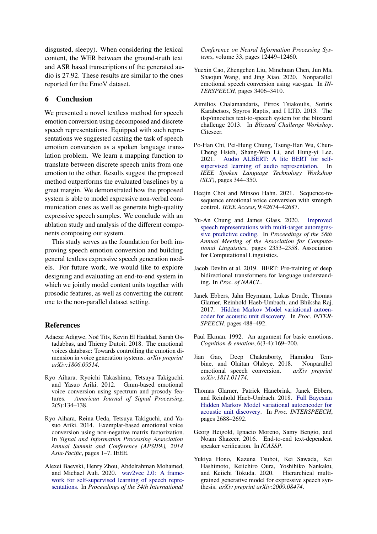disgusted, sleepy). When considering the lexical content, the WER between the ground-truth text and ASR based transcriptions of the generated audio is 27.92. These results are similar to the ones reported for the EmoV dataset.

## 6 Conclusion

We presented a novel textless method for speech emotion conversion using decomposed and discrete speech representations. Equipped with such representations we suggested casting the task of speech emotion conversion as a spoken language translation problem. We learn a mapping function to translate between discrete speech units from one emotion to the other. Results suggest the proposed method outperforms the evaluated baselines by a great margin. We demonstrated how the proposed system is able to model expressive non-verbal communication cues as well as generate high-quality expressive speech samples. We conclude with an ablation study and analysis of the different components composing our system.

This study serves as the foundation for both improving speech emotion conversion and building general textless expressive speech generation models. For future work, we would like to explore designing and evaluating an end-to-end system in which we jointly model content units together with prosodic features, as well as converting the current one to the non-parallel dataset setting.

### References

- <span id="page-8-15"></span>Adaeze Adigwe, Noé Tits, Kevin El Haddad, Sarah Ostadabbas, and Thierry Dutoit. 2018. The emotional voices database: Towards controlling the emotion dimension in voice generation systems. *arXiv preprint arXiv:1806.09514*.
- <span id="page-8-0"></span>Ryo Aihara, Ryoichi Takashima, Tetsuya Takiguchi, and Yasuo Ariki. 2012. Gmm-based emotional voice conversion using spectrum and prosody features. *American Journal of Signal Processing*, 2(5):134–138.
- <span id="page-8-3"></span>Ryo Aihara, Reina Ueda, Tetsuya Takiguchi, and Yasuo Ariki. 2014. Exemplar-based emotional voice conversion using non-negative matrix factorization. In *Signal and Information Processing Association Annual Summit and Conference (APSIPA), 2014 Asia-Pacific*, pages 1–7. IEEE.
- <span id="page-8-11"></span>Alexei Baevski, Henry Zhou, Abdelrahman Mohamed, and Michael Auli. 2020. [wav2vec 2.0: A frame](https://arxiv.org/abs/2006.11477)[work for self-supervised learning of speech repre](https://arxiv.org/abs/2006.11477)[sentations.](https://arxiv.org/abs/2006.11477) In *Proceedings of the 34th International*

*Conference on Neural Information Processing Systems*, volume 33, pages 12449–12460.

- <span id="page-8-4"></span>Yuexin Cao, Zhengchen Liu, Minchuan Chen, Jun Ma, Shaojun Wang, and Jing Xiao. 2020. Nonparallel emotional speech conversion using vae-gan. In *IN-TERSPEECH*, pages 3406–3410.
- <span id="page-8-14"></span>Aimilios Chalamandaris, Pirros Tsiakoulis, Sotiris Karabetsos, Spyros Raptis, and I LTD. 2013. The ilsp/innoetics text-to-speech system for the blizzard challenge 2013. In *Blizzard Challenge Workshop*. Citeseer.
- <span id="page-8-9"></span>Po-Han Chi, Pei-Hung Chung, Tsung-Han Wu, Chun-Cheng Hsieh, Shang-Wen Li, and Hung-yi Lee. 2021. [Audio ALBERT: A lite BERT for self](https://doi.org/10.1109/SLT48900.2021.9383575)[supervised learning of audio representation.](https://doi.org/10.1109/SLT48900.2021.9383575) In *IEEE Spoken Language Technology Workshop (SLT)*, pages 344–350.
- <span id="page-8-6"></span>Heejin Choi and Minsoo Hahn. 2021. Sequence-tosequence emotional voice conversion with strength control. *IEEE Access*, 9:42674–42687.
- <span id="page-8-10"></span>Yu-An Chung and James Glass. 2020. [Improved](https://doi.org/10.18653/v1/2020.acl-main.213) [speech representations with multi-target autoregres](https://doi.org/10.18653/v1/2020.acl-main.213)[sive predictive coding.](https://doi.org/10.18653/v1/2020.acl-main.213) In *Proceedings of the 58th Annual Meeting of the Association for Computational Linguistics*, pages 2353–2358. Association for Computational Linguistics.
- <span id="page-8-12"></span>Jacob Devlin et al. 2019. BERT: Pre-training of deep bidirectional transformers for language understanding. In *Proc. of NAACL*.
- <span id="page-8-7"></span>Janek Ebbers, Jahn Heymann, Lukas Drude, Thomas Glarner, Reinhold Haeb-Umbach, and Bhiksha Raj. 2017. [Hidden Markov Model variational autoen](https://doi.org/10.21437/Interspeech.2017-1160)[coder for acoustic unit discovery.](https://doi.org/10.21437/Interspeech.2017-1160) In *Proc. INTER-SPEECH*, pages 488–492.
- <span id="page-8-5"></span>Paul Ekman. 1992. An argument for basic emotions. *Cognition & emotion*, 6(3-4):169–200.
- <span id="page-8-1"></span>Jian Gao, Deep Chakraborty, Hamidou Tembine, and Olaitan Olaleye. 2018. Nonparallel emotional speech conversion. *arXiv preprint arXiv:1811.01174*.
- <span id="page-8-8"></span>Thomas Glarner, Patrick Hanebrink, Janek Ebbers, and Reinhold Haeb-Umbach. 2018. [Full Bayesian](https://doi.org/10.21437/Interspeech.2018-2148) [Hidden Markov Model variational autoencoder for](https://doi.org/10.21437/Interspeech.2018-2148) [acoustic unit discovery.](https://doi.org/10.21437/Interspeech.2018-2148) In *Proc. INTERSPEECH*, pages 2688–2692.
- <span id="page-8-13"></span>Georg Heigold, Ignacio Moreno, Samy Bengio, and Noam Shazeer. 2016. End-to-end text-dependent speaker verification. In *ICASSP*.
- <span id="page-8-2"></span>Yukiya Hono, Kazuna Tsuboi, Kei Sawada, Kei Hashimoto, Keiichiro Oura, Yoshihiko Nankaku, and Keiichi Tokuda. 2020. Hierarchical multigrained generative model for expressive speech synthesis. *arXiv preprint arXiv:2009.08474*.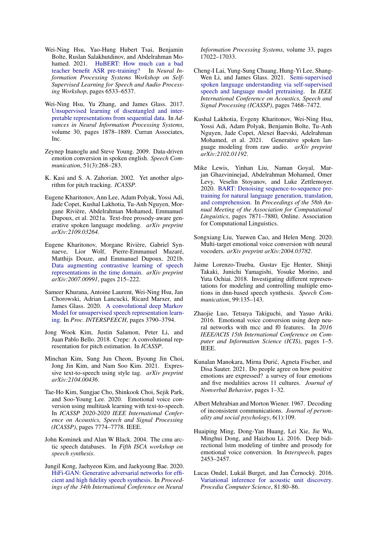- <span id="page-9-14"></span>Wei-Ning Hsu, Yao-Hung Hubert Tsai, Benjamin Bolte, Ruslan Salakhutdinov, and Abdelrahman Mohamed. 2021. [HuBERT: How much can a bad](https://doi.org/10.1109/ICASSP39728.2021.9414460) [teacher benefit ASR pre-training?](https://doi.org/10.1109/ICASSP39728.2021.9414460) In *Neural Information Processing Systems Workshop on Self-Supervised Learning for Speech and Audio Processing Workshop*, pages 6533–6537.
- <span id="page-9-13"></span>Wei-Ning Hsu, Yu Zhang, and James Glass. 2017. [Unsupervised learning of disentangled and inter](https://proceedings.neurips.cc/paper/2017/file/0a0a0c8aaa00ade50f74a3f0ca981ed7-Paper.pdf)[pretable representations from sequential data.](https://proceedings.neurips.cc/paper/2017/file/0a0a0c8aaa00ade50f74a3f0ca981ed7-Paper.pdf) In *Advances in Neural Information Processing Systems*, volume 30, pages 1878–1889. Curran Associates, Inc.
- <span id="page-9-1"></span>Zeynep Inanoglu and Steve Young. 2009. Data-driven emotion conversion in spoken english. *Speech Communication*, 51(3):268–283.
- <span id="page-9-18"></span>K. Kasi and S. A. Zahorian. 2002. Yet another algorithm for pitch tracking. *ICASSP*.
- <span id="page-9-16"></span>Eugene Kharitonov, Ann Lee, Adam Polyak, Yossi Adi, Jade Copet, Kushal Lakhotia, Tu-Anh Nguyen, Morgane Rivière, Abdelrahman Mohamed, Emmanuel Dupoux, et al. 2021a. Text-free prosody-aware generative spoken language modeling. *arXiv preprint arXiv:2109.03264*.
- <span id="page-9-9"></span>Eugene Kharitonov, Morgane Rivière, Gabriel Synnaeve, Lior Wolf, Pierre-Emmanuel Mazaré, Matthijs Douze, and Emmanuel Dupoux. 2021b. [Data augmenting contrastive learning of speech](https://doi.org/10.1109/SLT48900.2021.9383605) [representations in the time domain.](https://doi.org/10.1109/SLT48900.2021.9383605) *arXiv preprint arXiv:2007.00991*, pages 215–222.
- <span id="page-9-11"></span>Sameer Khurana, Antoine Laurent, Wei-Ning Hsu, Jan Chorowski, Adrian Lancucki, Ricard Marxer, and James Glass. 2020. [A convolutional deep Markov](https://doi.org/10.21437/Interspeech.2020-3084) [Model for unsupervised speech representation learn](https://doi.org/10.21437/Interspeech.2020-3084)[ing.](https://doi.org/10.21437/Interspeech.2020-3084) In *Proc. INTERSPEECH*, pages 3790–3794.
- <span id="page-9-19"></span>Jong Wook Kim, Justin Salamon, Peter Li, and Juan Pablo Bello. 2018. Crepe: A convolutional representation for pitch estimation. In *ICASSP*.
- <span id="page-9-2"></span>Minchan Kim, Sung Jun Cheon, Byoung Jin Choi, Jong Jin Kim, and Nam Soo Kim. 2021. Expressive text-to-speech using style tag. *arXiv preprint arXiv:2104.00436*.
- <span id="page-9-6"></span>Tae-Ho Kim, Sungjae Cho, Shinkook Choi, Sejik Park, and Soo-Young Lee. 2020. Emotional voice conversion using multitask learning with text-to-speech. In *ICASSP 2020-2020 IEEE International Conference on Acoustics, Speech and Signal Processing (ICASSP)*, pages 7774–7778. IEEE.
- <span id="page-9-21"></span>John Kominek and Alan W Black. 2004. The cmu arctic speech databases. In *Fifth ISCA workshop on speech synthesis*.
- <span id="page-9-20"></span>Jungil Kong, Jaehyeon Kim, and Jaekyoung Bae. 2020. [HiFi-GAN: Generative adversarial networks for effi](https://arxiv.org/abs/2010.05646)[cient and high fidelity speech synthesis.](https://arxiv.org/abs/2010.05646) In *Proceedings of the 34th International Conference on Neural*

*Information Processing Systems*, volume 33, pages 17022–17033.

- <span id="page-9-10"></span>Cheng-I Lai, Yung-Sung Chuang, Hung-Yi Lee, Shang-Wen Li, and James Glass. 2021. [Semi-supervised](https://doi.org/10.1109/ICASSP39728.2021.9414922) [spoken language understanding via self-supervised](https://doi.org/10.1109/ICASSP39728.2021.9414922) [speech and language model pretraining.](https://doi.org/10.1109/ICASSP39728.2021.9414922) In *IEEE International Conference on Acoustics, Speech and Signal Processing (ICASSP)*, pages 7468–7472.
- <span id="page-9-15"></span>Kushal Lakhotia, Evgeny Kharitonov, Wei-Ning Hsu, Yossi Adi, Adam Polyak, Benjamin Bolte, Tu-Anh Nguyen, Jade Copet, Alexei Baevski, Adelrahman Mohamed, et al. 2021. Generative spoken language modeling from raw audio. *arXiv preprint arXiv:2102.01192*.
- <span id="page-9-17"></span>Mike Lewis, Yinhan Liu, Naman Goyal, Marjan Ghazvininejad, Abdelrahman Mohamed, Omer Levy, Veselin Stoyanov, and Luke Zettlemoyer. 2020. [BART: Denoising sequence-to-sequence pre](https://doi.org/10.18653/v1/2020.acl-main.703)[training for natural language generation, translation,](https://doi.org/10.18653/v1/2020.acl-main.703) [and comprehension.](https://doi.org/10.18653/v1/2020.acl-main.703) In *Proceedings of the 58th Annual Meeting of the Association for Computational Linguistics*, pages 7871–7880, Online. Association for Computational Linguistics.
- <span id="page-9-7"></span>Songxiang Liu, Yuewen Cao, and Helen Meng. 2020. Multi-target emotional voice conversion with neural vocoders. *arXiv preprint arXiv:2004.03782*.
- <span id="page-9-4"></span>Jaime Lorenzo-Trueba, Gustav Eje Henter, Shinji Takaki, Junichi Yamagishi, Yosuke Morino, and Yuta Ochiai. 2018. Investigating different representations for modeling and controlling multiple emotions in dnn-based speech synthesis. *Speech Communication*, 99:135–143.
- <span id="page-9-3"></span>Zhaojie Luo, Tetsuya Takiguchi, and Yasuo Ariki. 2016. Emotional voice conversion using deep neural networks with mcc and f0 features. In *2016 IEEE/ACIS 15th International Conference on Computer and Information Science (ICIS)*, pages 1–5. IEEE.
- <span id="page-9-8"></span>Kunalan Manokara, Mirna Đurić, Agneta Fischer, and Disa Sauter. 2021. Do people agree on how positive emotions are expressed? a survey of four emotions and five modalities across 11 cultures. *Journal of Nonverbal Behavior*, pages 1–32.
- <span id="page-9-0"></span>Albert Mehrabian and Morton Wiener. 1967. Decoding of inconsistent communications. *Journal of personality and social psychology*, 6(1):109.
- <span id="page-9-5"></span>Huaiping Ming, Dong-Yan Huang, Lei Xie, Jie Wu, Minghui Dong, and Haizhou Li. 2016. Deep bidirectional lstm modeling of timbre and prosody for emotional voice conversion. In *Interspeech*, pages 2453–2457.
- <span id="page-9-12"></span>Lucas Ondel, Lukáš Burget, and Jan Černocký. 2016. [Variational inference for acoustic unit discovery.](https://reader.elsevier.com/reader/sd/pii/S1877050916300473?token=B82974706A4810554F194B3488D0F56700D7B8D858062A0AEAA90CE802222E7CDDD4ADC45DCFE7AF3E0166B85058F4AB&originRegion=eu-west-1&originCreation=20210728125431) *Procedia Computer Science*, 81:80–86.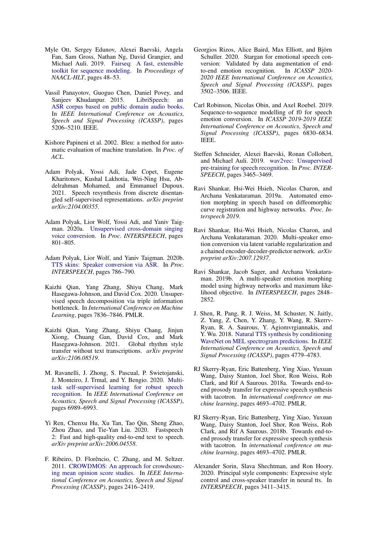- <span id="page-10-19"></span>Myle Ott, Sergey Edunov, Alexei Baevski, Angela Fan, Sam Gross, Nathan Ng, David Grangier, and Michael Auli. 2019. [Fairseq: A fast, extensible](https://aclanthology.org/N19-4009.pdf) [toolkit for sequence modeling.](https://aclanthology.org/N19-4009.pdf) In *Proceedings of NAACL-HLT*, pages 48–53.
- <span id="page-10-15"></span>Vassil Panayotov, Guoguo Chen, Daniel Povey, and Sanjeev Khudanpur. 2015. [LibriSpeech: an](https://doi.org/10.1109/ICASSP.2015.7178964) [ASR corpus based on public domain audio books.](https://doi.org/10.1109/ICASSP.2015.7178964) In *IEEE International Conference on Acoustics, Speech and Signal Processing (ICASSP)*, pages 5206–5210. IEEE.
- <span id="page-10-20"></span>Kishore Papineni et al. 2002. Bleu: a method for automatic evaluation of machine translation. In *Proc. of ACL*.
- <span id="page-10-14"></span>Adam Polyak, Yossi Adi, Jade Copet, Eugene Kharitonov, Kushal Lakhotia, Wei-Ning Hsu, Abdelrahman Mohamed, and Emmanuel Dupoux. 2021. Speech resynthesis from discrete disentangled self-supervised representations. *arXiv preprint arXiv:2104.00355*.
- <span id="page-10-1"></span>Adam Polyak, Lior Wolf, Yossi Adi, and Yaniv Taigman. 2020a. [Unsupervised cross-domain singing](https://doi.org/10.21437/Interspeech.2020-1862) [voice conversion.](https://doi.org/10.21437/Interspeech.2020-1862) In *Proc. INTERSPEECH*, pages 801–805.
- <span id="page-10-6"></span>Adam Polyak, Lior Wolf, and Yaniv Taigman. 2020b. [TTS skins: Speaker conversion via ASR.](https://doi.org/10.21437/Interspeech.2020-1416) In *Proc. INTERSPEECH*, pages 786–790.
- <span id="page-10-11"></span>Kaizhi Qian, Yang Zhang, Shiyu Chang, Mark Hasegawa-Johnson, and David Cox. 2020. Unsupervised speech decomposition via triple information bottleneck. In *International Conference on Machine Learning*, pages 7836–7846. PMLR.
- <span id="page-10-12"></span>Kaizhi Qian, Yang Zhang, Shiyu Chang, Jinjun Xiong, Chuang Gan, David Cox, and Mark Hasegawa-Johnson. 2021. Global rhythm style transfer without text transcriptions. *arXiv preprint arXiv:2106.08519*.
- <span id="page-10-13"></span>M. Ravanelli, J. Zhong, S. Pascual, P. Swietojanski, J. Monteiro, J. Trmal, and Y. Bengio. 2020. [Multi](https://doi.org/10.1109/ICASSP40776.2020.9053569)[task self-supervised learning for robust speech](https://doi.org/10.1109/ICASSP40776.2020.9053569) [recognition.](https://doi.org/10.1109/ICASSP40776.2020.9053569) In *IEEE International Conference on Acoustics, Speech and Signal Processing (ICASSP)*, pages 6989–6993.
- <span id="page-10-4"></span>Yi Ren, Chenxu Hu, Xu Tan, Tao Qin, Sheng Zhao, Zhou Zhao, and Tie-Yan Liu. 2020. Fastspeech 2: Fast and high-quality end-to-end text to speech. *arXiv preprint arXiv:2006.04558*.
- <span id="page-10-18"></span>F. Ribeiro, D. Florêncio, C. Zhang, and M. Seltzer. 2011. [CROWDMOS: An approach for crowdsourc](https://doi.org/10.1109/ICASSP.2011.5946971)[ing mean opinion score studies.](https://doi.org/10.1109/ICASSP.2011.5946971) In *IEEE International Conference on Acoustics, Speech and Signal Processing (ICASSP)*, pages 2416–2419.
- <span id="page-10-2"></span>Georgios Rizos, Alice Baird, Max Elliott, and Björn Schuller. 2020. Stargan for emotional speech conversion: Validated by data augmentation of endto-end emotion recognition. In *ICASSP 2020- 2020 IEEE International Conference on Acoustics, Speech and Signal Processing (ICASSP)*, pages 3502–3506. IEEE.
- <span id="page-10-0"></span>Carl Robinson, Nicolas Obin, and Axel Roebel. 2019. Sequence-to-sequence modelling of f0 for speech emotion conversion. In *ICASSP 2019-2019 IEEE International Conference on Acoustics, Speech and Signal Processing (ICASSP)*, pages 6830–6834. IEEE.
- <span id="page-10-10"></span>Steffen Schneider, Alexei Baevski, Ronan Collobert, and Michael Auli. 2019. [wav2vec: Unsupervised](https://doi.org/10.21437/Interspeech.2019-1873) [pre-training for speech recognition.](https://doi.org/10.21437/Interspeech.2019-1873) In *Proc. INTER-SPEECH*, pages 3465–3469.
- <span id="page-10-7"></span>Ravi Shankar, Hsi-Wei Hsieh, Nicolas Charon, and Archana Venkataraman. 2019a. Automated emotion morphing in speech based on diffeomorphic curve registration and highway networks. *Proc. Interspeech 2019*.
- <span id="page-10-9"></span>Ravi Shankar, Hsi-Wei Hsieh, Nicolas Charon, and Archana Venkataraman. 2020. Multi-speaker emotion conversion via latent variable regularization and a chained encoder-decoder-predictor network. *arXiv preprint arXiv:2007.12937*.
- <span id="page-10-8"></span>Ravi Shankar, Jacob Sager, and Archana Venkataraman. 2019b. A multi-speaker emotion morphing model using highway networks and maximum likelihood objective. In *INTERSPEECH*, pages 2848– 2852.
- <span id="page-10-16"></span>J. Shen, R. Pang, R. J. Weiss, M. Schuster, N. Jaitly, Z. Yang, Z. Chen, Y. Zhang, Y. Wang, R. Skerrv-Ryan, R. A. Saurous, Y. Agiomvrgiannakis, and Y. Wu. 2018. [Natural TTS synthesis by conditioning](https://doi.org/10.1109/ICASSP.2018.8461368) [WaveNet on MEL spectrogram predictions.](https://doi.org/10.1109/ICASSP.2018.8461368) In *IEEE International Conference on Acoustics, Speech and Signal Processing (ICASSP)*, pages 4779–4783.
- <span id="page-10-3"></span>RJ Skerry-Ryan, Eric Battenberg, Ying Xiao, Yuxuan Wang, Daisy Stanton, Joel Shor, Ron Weiss, Rob Clark, and Rif A Saurous. 2018a. Towards end-toend prosody transfer for expressive speech synthesis with tacotron. In *international conference on machine learning*, pages 4693–4702. PMLR.
- <span id="page-10-17"></span>RJ Skerry-Ryan, Eric Battenberg, Ying Xiao, Yuxuan Wang, Daisy Stanton, Joel Shor, Ron Weiss, Rob Clark, and Rif A Saurous. 2018b. Towards end-toend prosody transfer for expressive speech synthesis with tacotron. In *international conference on machine learning*, pages 4693–4702. PMLR.
- <span id="page-10-5"></span>Alexander Sorin, Slava Shechtman, and Ron Hoory. 2020. Principal style components: Expressive style control and cross-speaker transfer in neural tts. In *INTERSPEECH*, pages 3411–3415.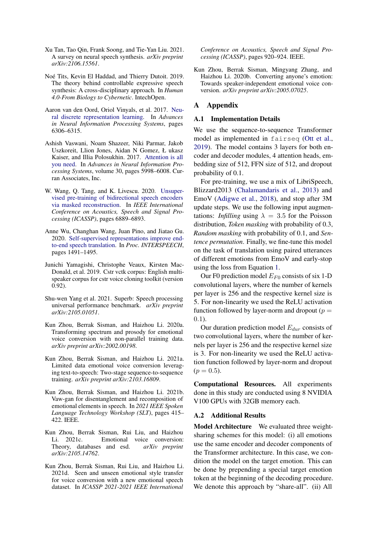- <span id="page-11-6"></span>Xu Tan, Tao Qin, Frank Soong, and Tie-Yan Liu. 2021. A survey on neural speech synthesis. *arXiv preprint arXiv:2106.15561*.
- <span id="page-11-0"></span>Noé Tits, Kevin El Haddad, and Thierry Dutoit. 2019. The theory behind controllable expressive speech synthesis: A cross-disciplinary approach. In *Human 4.0-From Biology to Cybernetic*. IntechOpen.
- <span id="page-11-9"></span>Aaron van den Oord, Oriol Vinyals, et al. 2017. [Neu](https://arxiv.org/abs/1711.00937)[ral discrete representation learning.](https://arxiv.org/abs/1711.00937) In *Advances in Neural Information Processing Systems*, pages 6306–6315.
- <span id="page-11-11"></span>Ashish Vaswani, Noam Shazeer, Niki Parmar, Jakob Uszkoreit, Llion Jones, Aidan N Gomez, Ł ukasz Kaiser, and Illia Polosukhin. 2017. [Attention is all](https://proceedings.neurips.cc/paper/2017/file/3f5ee243547dee91fbd053c1c4a845aa-Paper.pdf) [you need.](https://proceedings.neurips.cc/paper/2017/file/3f5ee243547dee91fbd053c1c4a845aa-Paper.pdf) In *Advances in Neural Information Processing Systems*, volume 30, pages 5998–6008. Curran Associates, Inc.
- <span id="page-11-10"></span>W. Wang, Q. Tang, and K. Livescu. 2020. [Unsuper](https://doi.org/10.1109/ICASSP40776.2020.9053541)[vised pre-training of bidirectional speech encoders](https://doi.org/10.1109/ICASSP40776.2020.9053541) [via masked reconstruction.](https://doi.org/10.1109/ICASSP40776.2020.9053541) In *IEEE International Conference on Acoustics, Speech and Signal Processing (ICASSP)*, pages 6889–6893.
- <span id="page-11-8"></span>Anne Wu, Changhan Wang, Juan Pino, and Jiatao Gu. 2020. [Self-supervised representations improve end](https://doi.org/10.21437/Interspeech.2020-3094)[to-end speech translation.](https://doi.org/10.21437/Interspeech.2020-3094) In *Proc. INTERSPEECH*, pages 1491–1495.
- <span id="page-11-14"></span>Junichi Yamagishi, Christophe Veaux, Kirsten Mac-Donald, et al. 2019. Cstr vctk corpus: English multispeaker corpus for cstr voice cloning toolkit (version 0.92).
- <span id="page-11-15"></span>Shu-wen Yang et al. 2021. Superb: Speech processing universal performance benchmark. *arXiv preprint arXiv:2105.01051*.
- <span id="page-11-1"></span>Kun Zhou, Berrak Sisman, and Haizhou Li. 2020a. Transforming spectrum and prosody for emotional voice conversion with non-parallel training data. *arXiv preprint arXiv:2002.00198*.
- <span id="page-11-3"></span>Kun Zhou, Berrak Sisman, and Haizhou Li. 2021a. Limited data emotional voice conversion leveraging text-to-speech: Two-stage sequence-to-sequence training. *arXiv preprint arXiv:2103.16809*.
- <span id="page-11-5"></span>Kun Zhou, Berrak Sisman, and Haizhou Li. 2021b. Vaw-gan for disentanglement and recomposition of emotional elements in speech. In *2021 IEEE Spoken Language Technology Workshop (SLT)*, pages 415– 422. IEEE.
- <span id="page-11-7"></span>Kun Zhou, Berrak Sisman, Rui Liu, and Haizhou Li. 2021c. Emotional voice conversion: Theory, databases and esd. *arXiv preprint arXiv:2105.14762*.
- <span id="page-11-4"></span>Kun Zhou, Berrak Sisman, Rui Liu, and Haizhou Li. 2021d. Seen and unseen emotional style transfer for voice conversion with a new emotional speech dataset. In *ICASSP 2021-2021 IEEE International*

*Conference on Acoustics, Speech and Signal Processing (ICASSP)*, pages 920–924. IEEE.

<span id="page-11-2"></span>Kun Zhou, Berrak Sisman, Mingyang Zhang, and Haizhou Li. 2020b. Converting anyone's emotion: Towards speaker-independent emotional voice conversion. *arXiv preprint arXiv:2005.07025*.

## A Appendix

#### <span id="page-11-13"></span>A.1 Implementation Details

We use the sequence-to-sequence Transformer model as implemented in fairseq [\(Ott et al.,](#page-10-19) [2019\)](#page-10-19). The model contains 3 layers for both encoder and decoder modules, 4 attention heads, embedding size of 512, FFN size of 512, and dropout probability of 0.1.

For pre-training, we use a mix of LibriSpeech, Blizzard2013 [\(Chalamandaris et al.,](#page-8-14) [2013\)](#page-8-14) and EmoV [\(Adigwe et al.,](#page-8-15) [2018\)](#page-8-15), and stop after 3M update steps. We use the following input augmentations: *Infilling* using  $\lambda = 3.5$  for the Poisson distribution, *Token masking* with probability of 0.3, *Random masking* with probability of 0.1, and *Sentence permutation*. Finally, we fine-tune this model on the task of translation using paired utterances of different emotions from EmoV and early-stop using the loss from Equation [1.](#page-3-2)

Our F0 prediction model  $E_{F0}$  consists of six 1-D convolutional layers, where the number of kernels per layer is 256 and the respective kernel size is 5. For non-linearity we used the ReLU activation function followed by layer-norm and dropout  $(p =$ 0.1).

Our duration prediction model  $E_{dur}$  consists of two convolutional layers, where the number of kernels per layer is 256 and the respective kernel size is 3. For non-linearity we used the ReLU activation function followed by layer-norm and dropout  $(p = 0.5)$ .

Computational Resources. All experiments done in this study are conducted using 8 NVIDIA V100 GPUs with 32GB memory each.

#### <span id="page-11-12"></span>A.2 Additional Results

Model Architecture We evaluated three weightsharing schemes for this model: (i) all emotions use the same encoder and decoder components of the Transformer architecture. In this case, we condition the model on the target emotion. This can be done by prepending a special target emotion token at the beginning of the decoding procedure. We denote this approach by "share-all". (ii) All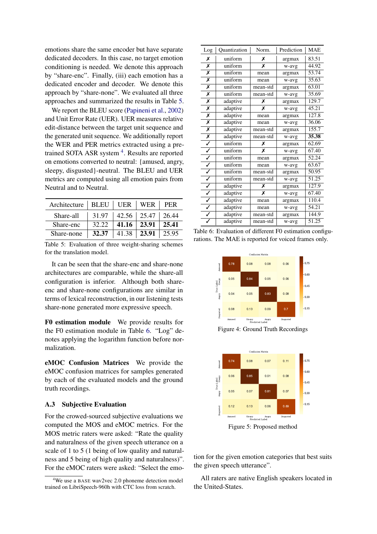emotions share the same encoder but have separate dedicated decoders. In this case, no target emotion conditioning is needed. We denote this approach by "share-enc". Finally, (iii) each emotion has a dedicated encoder and decoder. We denote this approach by "share-none". We evaluated all three approaches and summarized the results in Table [5.](#page-12-0)

We report the BLEU score [\(Papineni et al.,](#page-10-20) [2002\)](#page-10-20) and Unit Error Rate (UER). UER measures relative edit-distance between the target unit sequence and the generated unit sequence. We additionally report the WER and PER metrics extracted using a pre-trained SOTA ASR system<sup>[4](#page-12-2)</sup>. Results are reported on emotions converted to neutral: {amused, angry, sleepy, disgusted}-neutral. The BLEU and UER metrics are computed using all emotion pairs from Neutral and to Neutral.

<span id="page-12-0"></span>

| Architecture   BLEU   UER   WER |       |                                 |                         | PER |
|---------------------------------|-------|---------------------------------|-------------------------|-----|
| Share-all                       |       | $31.97$   42.56   25.47   26.44 |                         |     |
| Share-enc                       | 32.22 |                                 | $41.16$   23.91   25.41 |     |
| Share-none                      | 32.37 | 41.38   <b>23.91</b>   25.95    |                         |     |

Table 5: Evaluation of three weight-sharing schemes for the translation model.

It can be seen that the share-enc and share-none architectures are comparable, while the share-all configuration is inferior. Although both shareenc and share-none configurations are similar in terms of lexical reconstruction, in our listening tests share-none generated more expressive speech.

F0 estimation module We provide results for the F0 estimation module in Table [6.](#page-12-1) "Log" denotes applying the logarithm function before normalization.

eMOC Confusion Matrices We provide the eMOC confusion matrices for samples generated by each of the evaluated models and the ground truth recordings.

## A.3 Subjective Evaluation

For the crowed-sourced subjective evaluations we computed the MOS and eMOC metrics. For the MOS metric raters were asked: "Rate the quality and naturalness of the given speech utterance on a scale of 1 to 5 (1 being of low quality and naturalness and 5 being of high quality and naturalness)". For the eMOC raters were asked: "Select the emo-

<span id="page-12-1"></span>

| Log                     | Quantization | Norm.    | Prediction | <b>MAE</b> |
|-------------------------|--------------|----------|------------|------------|
| Х                       | uniform      | Х        | argmax     | 83.51      |
| Х                       | uniform      | x        | w-avg      | 44.92      |
| X                       | uniform      | mean     | argmax     | 53.74      |
| X                       | uniform      | mean     | w-avg      | 35.63      |
| Х                       | uniform      | mean-std | argmax     | 63.01      |
| Х                       | uniform      | mean-std | w-avg      | 35.69      |
| Х                       | adaptive     | Х        | argmax     | 129.7      |
| Х                       | adaptive     | X        | w-avg      | 45.21      |
| Х                       | adaptive     | mean     | argmax     | 127.8      |
| Х                       | adaptive     | mean     | w-avg      | 36.06      |
| $\overline{\mathsf{x}}$ | adaptive     | mean-std | argmax     | 155.7      |
| X                       | adaptive     | mean-std | w-avg      | 35.38      |
| ✓                       | uniform      | Х        | argmax     | 62.69      |
| ✓                       | uniform      | x        | w-avg      | 67.40      |
|                         | uniform      | mean     | argmax     | 52.24      |
| ✓                       | uniform      | mean     | w-avg      | 63.67      |
| ✓                       | uniform      | mean-std | argmax     | 50.95      |
| $\overline{\checkmark}$ | uniform      | mean-std | w-avg      | 51.25      |
|                         | adaptive     | Х        | argmax     | 127.9      |
| Ī                       | adaptive     | X        | w-avg      | 67.40      |
| $\overline{\checkmark}$ | adaptive     | mean     | argmax     | 110.4      |
|                         | adaptive     | mean     | w-avg      | 54.21      |
| ✓                       | adaptive     | mean-std | argmax     | 144.9      |
|                         | adaptive     | mean-std | w-avg      | 51.25      |

Table 6: Evaluation of different F0 estimation configurations. The MAE is reported for voiced frames only.



Figure 4: Ground Truth Recordings



Figure 5: Proposed method

tion for the given emotion categories that best suits the given speech utterance".

All raters are native English speakers located in the United-States.

<span id="page-12-2"></span><sup>&</sup>lt;sup>4</sup>We use a BASE wav2vec 2.0 phoneme detection model trained on LibriSpeech-960h with CTC loss from scratch.